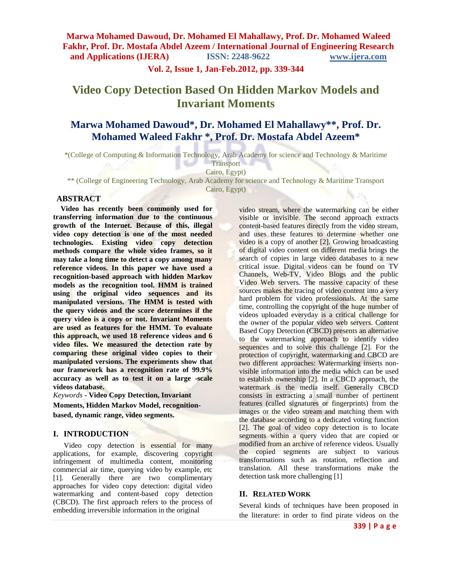**Vol. 2, Issue 1, Jan-Feb.2012, pp. 339-344**

# **Video Copy Detection Based On Hidden Markov Models and Invariant Moments**

## **Marwa Mohamed Dawoud\*, Dr. Mohamed El Mahallawy\*\*, Prof. Dr. Mohamed Waleed Fakhr \*, Prof. Dr. Mostafa Abdel Azeem\***

\*(College of Computing & Information Technology, Arab Academy for science and Technology & Maritime

Cairo, Egypt)

\*\* (College of Engineering Technology, Arab Academy for science and Technology & Maritime Transport

Cairo, Egypt)

#### **ABSTRACT**

**Video has recently been commonly used for transferring information due to the continuous growth of the Internet. Because of this, illegal video copy detection is one of the most needed technologies. Existing video copy detection methods compare the whole video frames, so it may take a long time to detect a copy among many reference videos. In this paper we have used a recognition-based approach with hidden Markov models as the recognition tool. HMM is trained using the original video sequences and its manipulated versions. The HMM is tested with the query videos and the score determines if the query video is a copy or not. Invariant Moments are used as features for the HMM. To evaluate this approach, we used 18 reference videos and 6 video files. We measured the detection rate by comparing these original video copies to their manipulated versions. The experiments show that our framework has a recognition rate of 99.9% accuracy as well as to test it on a large -scale videos database.**

*Keywords* **- Video Copy Detection, Invariant Moments, Hidden Markov Model, recognitionbased, dynamic range, video segments.**

#### **I. INTRODUCTION**

Video copy detection is essential for many applications, for example, discovering copyright infringement of multimedia content, monitoring commercial air time, querying video by example, etc [1]. Generally there are two complimentary approaches for video copy detection: digital video watermarking and content-based copy detection (CBCD). The first approach refers to the process of embedding irreversible information in the original

video stream, where the watermarking can be either visible or invisible. The second approach extracts content-based features directly from the video stream, and uses these features to determine whether one video is a copy of another [2]. Growing broadcasting of digital video content on different media brings the search of copies in large video databases to a new critical issue. Digital videos can be found on TV Channels, Web-TV, Video Blogs and the public Video Web servers. The massive capacity of these sources makes the tracing of video content into a very hard problem for video professionals. At the same time, controlling the copyright of the huge number of videos uploaded everyday is a critical challenge for the owner of the popular video web servers. Content Based Copy Detection (CBCD) presents an alternative to the watermarking approach to identify video sequences and to solve this challenge [2]. For the protection of copyright, watermarking and CBCD are two different approaches: Watermarking inserts nonvisible information into the media which can be used to establish ownership [2]. In a CBCD approach, the watermark is the media itself. Generally CBCD consists in extracting a small number of pertinent features (called signatures or fingerprints) from the images or the video stream and matching them with the database according to a dedicated voting function [2]. The goal of video copy detection is to locate segments within a query video that are copied or modified from an archive of reference videos. Usually the copied segments are subject to various transformations such as rotation, reflection and translation. All these transformations make the detection task more challenging [1]

### **II. RELATED WORK**

Several kinds of techniques have been proposed in the literature: in order to find pirate videos on the

**Transport**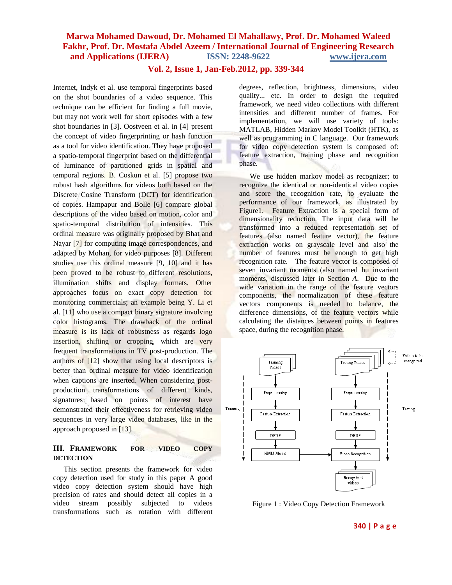#### **Vol. 2, Issue 1, Jan-Feb.2012, pp. 339-344**

Internet, Indyk et al. use temporal fingerprints based on the shot boundaries of a video sequence. This technique can be efficient for finding a full movie, but may not work well for short episodes with a few shot boundaries in [3]. Oostveen et al. in [4] present the concept of video fingerprinting or hash function as a tool for video identification. They have proposed a spatio-temporal fingerprint based on the differential of luminance of partitioned grids in spatial and temporal regions. B. Coskun et al. [5] propose two robust hash algorithms for videos both based on the Discrete Cosine Transform (DCT) for identification of copies. Hampapur and Bolle [6] compare global descriptions of the video based on motion, color and spatio-temporal distribution of intensities. This ordinal measure was originally proposed by Bhat and Nayar [7] for computing image correspondences, and adapted by Mohan, for video purposes [8]. Different studies use this ordinal measure [9, 10] and it has been proved to be robust to different resolutions, illumination shifts and display formats. Other approaches focus on exact copy detection for monitoring commercials; an example being Y. Li et al. [11] who use a compact binary signature involving color histograms. The drawback of the ordinal measure is its lack of robustness as regards logo insertion, shifting or cropping, which are very frequent transformations in TV post-production. The authors of [12] show that using local descriptors is better than ordinal measure for video identification when captions are inserted. When considering postproduction transformations of different kinds, signatures based on points of interest have demonstrated their effectiveness for retrieving video sequences in very large video databases, like in the approach proposed in [13].

#### **III. FRAMEWORK FOR VIDEO COPY DETECTION**

This section presents the framework for video copy detection used for study in this paper A good video copy detection system should have high precision of rates and should detect all copies in a video stream possibly subjected to videos transformations such as rotation with different

degrees, reflection, brightness, dimensions, video quality... etc. In order to design the required framework, we need video collections with different intensities and different number of frames. For implementation, we will use variety of tools: MATLAB, Hidden Markov Model Toolkit (HTK), as well as programming in C language. Our framework for video copy detection system is composed of: feature extraction, training phase and recognition phase.

We use hidden markov model as recognizer; to recognize the identical or non-identical video copies and score the recognition rate, to evaluate the performance of our framework, as illustrated by Figure1. Feature Extraction is a special form of [dimensionality reduction.](http://en.wikipedia.org/wiki/Dimensionality_reduction) The input data will be transformed into a reduced representation set of features (also named feature vector), the feature extraction works on grayscale level and also the number of features must be enough to get high recognition rate. The feature vector is composed of seven invariant moments (also named hu invariant moments, discussed later in Section *A*. Due to the wide variation in the range of the feature vectors components, the normalization of these feature vectors components is needed to balance, the difference dimensions, of the feature vectors while calculating the distances between points in features space, during the recognition phase.



Figure 1 : Video Copy Detection Framework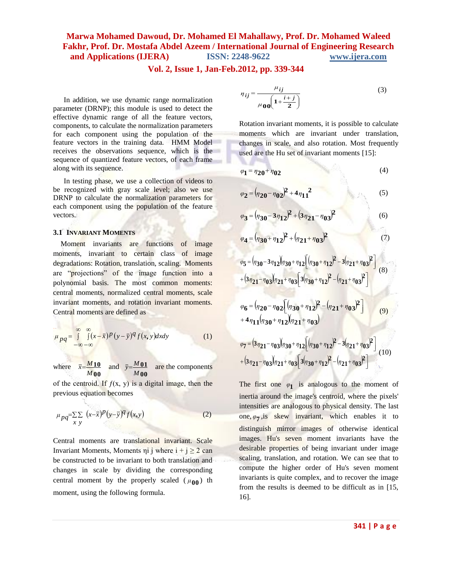#### **Vol. 2, Issue 1, Jan-Feb.2012, pp. 339-344**

In addition, we use dynamic range normalization parameter (DRNP); this module is used to detect the effective dynamic range of all the feature vectors, components, to calculate the normalization parameters for each component using the population of the feature vectors in the training data. HMM Model receives the observations sequence, which is the sequence of quantized feature vectors, of each frame along with its sequence.

In testing phase, we use a collection of videos to be recognized with gray scale level; also we use DRNP to calculate the normalization parameters for each component using the population of the feature vectors.

#### **3.1 INVARIANT MOMENTS**

Moment invariants are functions of image moments, invariant to certain class of image degradations: Rotation, translation, scaling. Moments are "projections" of the image function into a polynomial basis. The most common moments: central moments, normalized central moments, scale invariant moments, and rotation invariant moments. Central moments are defined as

$$
\mu_{pq} = \int_{-\infty}^{\infty} \int_{-\infty}^{\infty} (x - \bar{x})^p (y - \bar{y})^q f(x, y) dx dy
$$
 (1)

where *M* **00** *M x* **10**  $\overline{M}$ **10** and  $\overline{y} = \frac{M_0}{M_0}$ *M* **00** are the components

of the centroid. If  $f(x, y)$  is a digital image, then the previous equation becomes

$$
\mu_{pq} = \sum_{x} \sum_{y} (x - \bar{x})^p (y - \bar{y})^q f(x, y) \tag{2}
$$

Central moments are translational invariant. Scale Invariant Moments, Moments  $\pi i$  j where  $i + j \ge 2$  can be constructed to be invariant to both translation and changes in scale by dividing the corresponding central moment by the properly scaled  $(\mu_{00})$  th moment, using the following formula.

$$
\eta_{ij} = \frac{\mu_{ij}}{\mu_{00} \left( 1 + \frac{i+j}{2} \right)}\tag{3}
$$

Rotation invariant moments, it is possible to calculate moments which are invariant under translation, changes in scale, and also rotation. Most frequently used are the Hu set of invariant moments [15]:

$$
\varphi_1 = \eta_{20} + \eta_{02} \tag{4}
$$

$$
\varphi_2 = (\eta_{20} - \eta_{02})^2 + 4\eta_{11}^2 \tag{5}
$$

$$
\varphi_3 = (\eta_{30} - 3\eta_{12})^2 + (3\eta_{21} - \eta_{03})^2
$$
 (6)

$$
\varphi_4 = (\eta_{30} + \eta_{12})^2 + (\eta_{21} + \eta_{03})^2 \tag{7}
$$

$$
\varphi_{5} = (\eta_{30} - 3\eta_{12})(\eta_{30} + \eta_{12}) (\eta_{30} + \eta_{12})^{2} - 3(\eta_{21} + \eta_{03})^{2}
$$
  
+  $(3\eta_{21} - \eta_{03})(\eta_{21} + \eta_{03}) (3(\eta_{30} + \eta_{12})^{2} - (\eta_{21} + \eta_{03})^{2})$  (8)

$$
\varphi_6 = (\eta_{20} - \eta_{02}) \left[ (\eta_{30} + \eta_{12})^2 - (\eta_{21} + \eta_{03})^2 \right] \tag{9}
$$
  
+  $4 \eta_{11} (\eta_{30} + \eta_{12}) (\eta_{21} + \eta_{03})$ 

$$
\varphi_7 = (3\eta_{21} - \eta_{03})(\eta_{30} + \eta_{12})\left[(\eta_{30} + \eta_{12})^2 - 3(\eta_{21} + \eta_{03})^2\right] + (3\eta_{21} - \eta_{03})(\eta_{21} + \eta_{03})\left[3(\eta_{30} + \eta_{12})^2 - (\eta_{21} + \eta_{03})^2\right]
$$
(10)

The first one  $\varphi_1$  is analogous to the moment of inertia around the image's centroid, where the pixels' intensities are analogous to physical density. The last one,  $\varphi$ **7**, is skew invariant, which enables it to distinguish mirror images of otherwise identical images. Hu's seven moment invariants have the desirable properties of being invariant under image scaling, translation, and rotation. We can see that to compute the higher order of Hu's seven moment invariants is quite complex, and to recover the image from the results is deemed to be difficult as in [15, 16].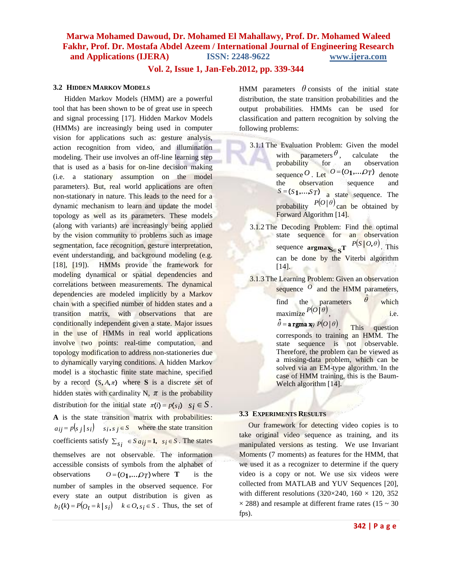**Vol. 2, Issue 1, Jan-Feb.2012, pp. 339-344**

#### **3.2 HIDDEN MARKOV MODELS**

 Hidden Markov Models (HMM) are a powerful tool that has been shown to be of great use in speech and signal processing [17]. Hidden Markov Models (HMMs) are increasingly being used in computer vision for applications such as: gesture analysis, action recognition from video, and illumination modeling. Their use involves an off-line learning step that is used as a basis for on-line decision making (i.e. a stationary assumption on the model parameters). But, real world applications are often non-stationary in nature. This leads to the need for a dynamic mechanism to learn and update the model topology as well as its parameters*.* These models (along with variants) are increasingly being applied by the vision community to problems such as image segmentation, face recognition, gesture interpretation, event understanding, and background modeling (e.g. [18], [19]). HMMs provide the framework for modeling dynamical or spatial dependencies and correlations between measurements. The dynamical dependencies are modeled implicitly by a Markov chain with a specified number of hidden states and a transition matrix, with observations that are conditionally independent given a state. Major issues in the use of HMMs in real world applications involve two points: real-time computation, and topology modification to address non-stationeries due to dynamically varying conditions. A hidden Markov model is a stochastic finite state machine, specified by a record  $(S, A, \pi)$  where S is a discrete set of hidden states with cardinality N,  $\pi$  is the probability distribution for the initial state  $\pi(i) = p(s_i)$   $s_i \in S$ . **A** is the state transition matrix with probabilities:  $a_{ij} = p(s_j | s_i)$   $s_i, s_j \in S$  where the state transition coefficients satisfy  $\sum_{s_i} \in S a_{ij} = 1$ ,  $s_i \in S$ . The states themselves are not observable. The information accessible consists of symbols from the alphabet of observations  $O = (O_1, \ldots, O_T)$  where **T** is the number of samples in the observed sequence. For every state an output distribution is given as  $b_i(k) = P(O_t = k \mid s_i)$   $k \in O, s_i \in S$ . Thus, the set of

HMM parameters  $\theta$  consists of the initial state distribution, the state transition probabilities and the output probabilities. HMMs can be used for classification and pattern recognition by solving the following problems:

- 3.1.1 The Evaluation Problem: Given the model with parameters  $\theta$ , calculate the probability for an observation sequence  $O$ . Let  $O = (O_1, \ldots, O_T)$  denote the observation sequence  $S = (S_1, \ldots, S_T)$  **a** state sequence. The probability  $P(O | \theta)$  can be obtained by Forward Algorithm [14].
- 3.1.2 The Decoding Problem: Find the optimal state sequence for an observation sequence  $\operatorname{argmax}_{S \in S} T$   $P(S | O, \theta)$ . This can be done by the Viterbi algorithm [14].

3.1.3 The Learning Problem: Given an observation sequence O and the HMM parameters,

find the parameters  $\theta$ ˆ which  $maximize$   $P(O | \theta)$ i.e.

 $\hat{\theta}$  = a rgma x $\rho$   $P(O | \theta)$ This question corresponds to training an HMM. The state sequence is not observable. Therefore, the problem can be viewed as a missing-data problem, which can be solved via an EM-type algorithm. In the case of HMM training, this is the Baum-Welch algorithm [14].

#### **3.3 EXPERIMENTS RESULTS**

 Our framework for detecting video copies is to take original video sequence as training, and its manipulated versions as testing. We use Invariant Moments (7 moments) as features for the HMM, that we used it as a recognizer to determine if the query video is a copy or not. We use six videos were collected from MATLAB and YUV Sequences [20], with different resolutions (320×240, 160  $\times$  120, 352  $\times$  288) and resample at different frame rates (15  $\sim$  30 fps).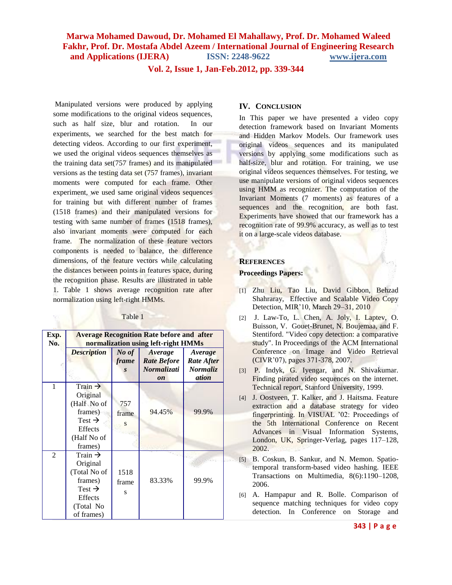**Vol. 2, Issue 1, Jan-Feb.2012, pp. 339-344**

Manipulated versions were produced by applying some modifications to the original videos sequences, such as half size, blur and rotation. In our experiments, we searched for the best match for detecting videos. According to our first experiment, we used the original videos sequences themselves as the training data set(757 frames) and its manipulated versions as the testing data set (757 frames), invariant moments were computed for each frame. Other experiment, we used same original videos sequences for training but with different number of frames (1518 frames) and their manipulated versions for testing with same number of frames (1518 frames), also invariant moments were computed for each frame. The normalization of these feature vectors components is needed to balance, the difference dimensions, of the feature vectors while calculating the distances between points in features space, during the recognition phase. Results are illustrated in table 1. Table 1 shows average recognition rate after normalization using left-right HMMs.

| Exp.<br>No. | <b>Average Recognition Rate before and after</b><br>normalization using left-right HMMs                                       |                                |                                                                          |                                                   |
|-------------|-------------------------------------------------------------------------------------------------------------------------------|--------------------------------|--------------------------------------------------------------------------|---------------------------------------------------|
|             | <b>Description</b>                                                                                                            | No of<br>frame<br>$\mathbf{s}$ | Average<br><b>Rate Before</b><br><b>Normalizati</b><br>$\boldsymbol{on}$ | Average<br><b>Rate After</b><br>Normaliz<br>ation |
| 1           | Train $\rightarrow$<br>Original<br>(Half No of<br>frames)<br>Test $\rightarrow$<br><b>Effects</b><br>(Half No of<br>frames)   | 757<br>frame<br>S              | 94.45%                                                                   | 99.9%                                             |
| 2           | Train $\rightarrow$<br>Original<br>(Total No of<br>frames)<br>Test $\rightarrow$<br><b>Effects</b><br>(Total No<br>of frames) | 1518<br>frame<br>S             | 83.33%                                                                   | 99.9%                                             |

Table 1

#### **IV. CONCLUSION**

In This paper we have presented a video copy detection framework based on Invariant Moments and Hidden Markov Models. Our framework uses original videos sequences and its manipulated versions by applying some modifications such as half-size, blur and rotation. For training, we use original videos sequences themselves. For testing, we use manipulate versions of original videos sequences using HMM as recognizer. The computation of the Invariant Moments (7 moments) as features of a sequences and the recognition, are both fast. Experiments have showed that our framework has a recognition rate of 99.9% accuracy, as well as to test it on a large-scale videos database.

#### **REFERENCES**

#### **Proceedings Papers:**

- [1] Zhu Liu, Tao Liu, David Gibbon, Behzad Shahraray, Effective and Scalable Video Copy Detection, MIR'10, March 29–31, 2010
- [2] J. Law-To, L. Chen, A. Joly, I. Laptev, O. Buisson, V. Gouet-Brunet, N. Boujemaa, and F. Stentiford. "Video copy detection: a comparative study". In Proceedings of the ACM International Conference on Image and Video Retrieval (CIVR'07), pages 371-378, 2007.
- [3] P. Indyk, G. Iyengar, and N. Shivakumar. Finding pirated video sequences on the internet. Technical report, Stanford University, 1999.
- [4] J. Oostveen, T. Kalker, and J. Haitsma. Feature extraction and a database strategy for video fingerprinting. In VISUAL '02: Proceedings of the 5th International Conference on Recent Advances in Visual Information Systems, London, UK, Springer-Verlag, pages 117–128, 2002.
- [5] B. Coskun, B. Sankur, and N. Memon. Spatiotemporal transform-based video hashing. IEEE Transactions on Multimedia, 8(6):1190–1208, 2006.
- [6] A. Hampapur and R. Bolle. Comparison of sequence matching techniques for video copy detection. In Conference on Storage and